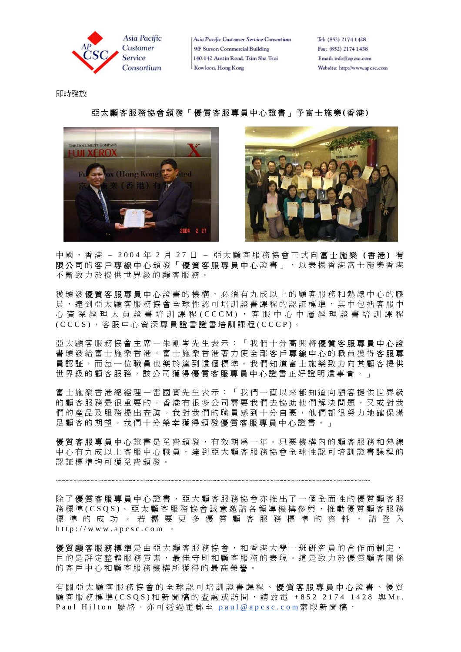

Tel: (852) 2174 1428 Fax: (852) 2174 1438 Email: info@apcsc.com Website: http://www.apcsc.com

即時發放

## 亞太顧客服務協會頒發「優質客服專員中心證書」予富士施樂 **(** 香 港 **)**





中國,香港 – 2004 年 2 月 2 7 日 – 亞太顧客服務協會正式向 富士施樂 **(** 香 港 **)** 有 限公司的客戶專線中心頒發「優質客服專員中心證書」,以表揚香港富士施樂香港 不斷致力於提供世界級的顧客服務。

獲頒發優質客服專員中心證書的機構,必須有九成以上的顧客服務和熱線中心的職 員,達到亞太顧客服務協會全球性認可培訓證書課程的認証標準,其中包括客服中 心資深經理人員證書培訓課程 (CCCM), 客服中心中層經理證書培訓課程 (CCCS) ,客服中心資深專員證書證書培訓課程 (CCCP) 。

亞太顧客服務協會主席—朱剛岑先生表示:「我們十分高興將 優質客服專員中心 證 書頒發給富士施樂香港,並得在著力使全部客戶專線中心的職員獲得客服專 員認証,而每一位職員也樂於達到這個標準。我們知道富士施樂致力向其顧客提供 世界級的顧客服務,該公司獲得優質客服專員中心證書正好證明這事實。」

富士施樂香港總經理—雷國寶先生表示:「我們一直以來都知道向顧客提供世界級 的顧客服務是很重要的。香港有很多公司需要我們去協助他們解決問題,又或對我 們的產品及服務提出查詢。我對我們的職員感到十分自豪,他們都很努力地確保滿 足顧客的期望。我們十分榮幸獲得頒發優質客服專員中心證書。」

優質客服專員中心 證書是免費頒發,有效期為一年。只要機構內的顧客服務和熱線 中心有九成以上客服中心職員,達到亞太顧客服務協會全球性認可培訓證書課程的 認証標準均可獲免費頒發。

~~~~~~~~~~~~~~~~~~~~~~~~~~~~~~~~~~~~~~~~~~~~~~~~~~~~~~~~~~~~~~~~~~~~~~~~~~~

除了優質客服專員中心證書,亞太顧客服務協會亦推出了一個全面性的優質顧客服 務標準(CSQS)。亞太顧客服務協會誠意邀請各領導機構參與,推動優質顧客服務 標準的成功。若需要更多優質顧客服務標準的資料,請登入 http://www.apcsc.com 。

**優質顧客服務標準**是由亞太顧客服務協會,和香港大學一班研究員的合作而制定, 目的是評定整體服務質素,最佳守則和顧客服務的表現。這是致力於優質顧客關係 的客戶中心和顧客服務機構所獲得的最高榮譽。

有關亞太顧客服務協會的全球認可培訓證書課程、優質客服專員中心證書、優質 顧客服務標準 (CSQS) 和新聞稿的查詢或訪問,請致電 +852 2174 1428 與Mr. Paul Hilton 聯絡。亦可透過電郵至 paul@apcsc.com索取新聞稿,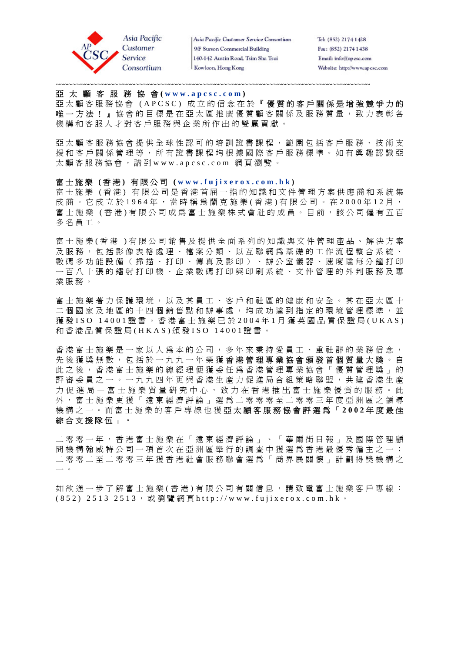

Tel: (852) 2174 1428 Fax: (852) 2174 1438 Email: info@apcsc.com Website: http://www.apcsc.com

#### 亞 太 顧 客 服 務 協 會 **( www.apcsc.com )**

亞太顧客服務協會 (APCSC) 成立的信念在於『 優質的客戶關係是增強競爭力的 唯一方法! 。協會的目標是在亞太區推廣優質顧客關係及服務質量,致力表彰各 機構和客服人才對客戶服務與企業所作出的雙贏貢獻。

~~~~~~~~~~~~~~~~~~~~~~~~~~~~~~~~~~~~~~~~~~~~~~~~~~~~~~~~~~~~~~~~~~~~~~~~~~~

亞太顧客服務協會提供全球性認可的培訓證書課程,範圍包括客戶服務、技術支 援和客戶關係管理等,所有證書課程均根據國際客戶服務標準。如有興趣認識亞 太顧客服務協會,請到www.apcsc.com 網頁瀏覽。

#### 富士施樂 **(** 香 港 **)** 有限公司 **( www.fujixerox.com.hk )**

富士施樂 ( 香 港 ) 有限公司是香港首屈一指的知識和文件管理方案供應商和系統集 成商。它成立於 1964年,當時稱為蘭克施樂 (香港) 有限公司。在 2000年 12月, 富士施樂 (香港) 有限公司成為富士施樂株式會社的成員。目前,該公司僱有五百 多名員工。

富士施樂 ( 香 港 ) 有限公司銷售及提供全面系列的知識與文件管理產品、解決方案 及服務,包括影像表格處理、檔案分類、以互聯網為基礎的工作流程整合系統、 數碼多功能設備(掃描、打印、傳真及影印)、辦公室儀器、速度達每分鐘打印 一百八十張的鐳射打印機、企業數碼打印與印刷系統、文件管理的外判服務及專 業服務。

富士施樂著力保護環境,以及其員工、客戶和社區的健康和安全。其在亞太區十 二個國家及地區的十四個銷售點和辦事處,均成功達到指定的環境管理標進,並 獲 發 ISO 14001 證書。香港富士施樂已於 2004 年 1 月獲英國品質保證局 (UKAS) 和香港品質保證局 (HKAS) 頒 發 ISO 14001 證書。

香港富士施樂是一家以人為本的公司,多年來秉持愛員工、重社群的業務信念, 先後獲獎無數,包括於一九九一年榮獲香港管理專業協會頒發首個質量大獎。自 此之後,香港富士施樂的總經理便獲委任為香港管理專業協會「優質管理獎」的 評審委員之一。一九九四年更與香港生產力促進局合組策略聯盟,共建香港生產 力促進局一富士施樂質量研究中心,致力在香港推出富士施樂優質的服務。此 外,富士施樂更獲「遠東經濟評論」選為二零零零至二零零三年度亞洲區之領導 機構之一。而富士施樂的客戶專線也獲 亞太顧客服務協會評選為「 **2002** 年度最佳 綜合支援隊伍」。

二零零一年,香港富士施樂在「遠東經濟評論」、「華爾街日報」及國際管理顧 問機構翰威特公司一項首次在亞洲區舉行的調查中獲選為香港最優秀僱主之一; 二零零二至二零零三年獲香港社會服務聯會選為「商界展關懷」計劃得獎機構之 一 。

如欲進一步了解富士施樂 ( 香港 ) 有限公司有關信息, 請致電富士施樂客戶專線:  $(852)$  2513 2513, 或瀏覽網頁 http://www.fujixerox.com.hk。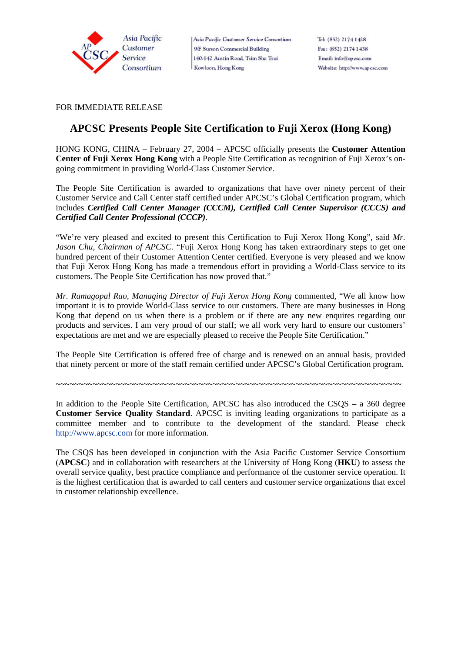

FOR IMMEDIATE RELEASE

# **APCSC Presents People Site Certification to Fuji Xerox (Hong Kong)**

HONG KONG, CHINA – February 27, 2004 – APCSC officially presents the **Customer Attention Center of Fuji Xerox Hong Kong** with a People Site Certification as recognition of Fuji Xerox's ongoing commitment in providing World-Class Customer Service.

The People Site Certification is awarded to organizations that have over ninety percent of their Customer Service and Call Center staff certified under APCSC's Global Certification program, which includes *Certified Call Center Manager (CCCM), Certified Call Center Supervisor (CCCS) and Certified Call Center Professional (CCCP)*.

"We're very pleased and excited to present this Certification to Fuji Xerox Hong Kong", said *Mr. Jason Chu, Chairman of APCSC*. "Fuji Xerox Hong Kong has taken extraordinary steps to get one hundred percent of their Customer Attention Center certified. Everyone is very pleased and we know that Fuji Xerox Hong Kong has made a tremendous effort in providing a World-Class service to its customers. The People Site Certification has now proved that."

*Mr. Ramagopal Rao, Managing Director of Fuji Xerox Hong Kong* commented, "We all know how important it is to provide World-Class service to our customers. There are many businesses in Hong Kong that depend on us when there is a problem or if there are any new enquires regarding our products and services. I am very proud of our staff; we all work very hard to ensure our customers' expectations are met and we are especially pleased to receive the People Site Certification."

The People Site Certification is offered free of charge and is renewed on an annual basis, provided that ninety percent or more of the staff remain certified under APCSC's Global Certification program.

~~~~~~~~~~~~~~~~~~~~~~~~~~~~~~~~~~~~~~~~~~~~~~~~~~~~~~~~~~~~~~~~~~~~~~~~~~~

In addition to the People Site Certification, APCSC has also introduced the CSQS – a 360 degree **Customer Service Quality Standard**. APCSC is inviting leading organizations to participate as a committee member and to contribute to the development of the standard. Please check http://www.apcsc.com for more information.

The CSQS has been developed in conjunction with the Asia Pacific Customer Service Consortium (**APCSC**) and in collaboration with researchers at the University of Hong Kong (**HKU**) to assess the overall service quality, best practice compliance and performance of the customer service operation. It is the highest certification that is awarded to call centers and customer service organizations that excel in customer relationship excellence.